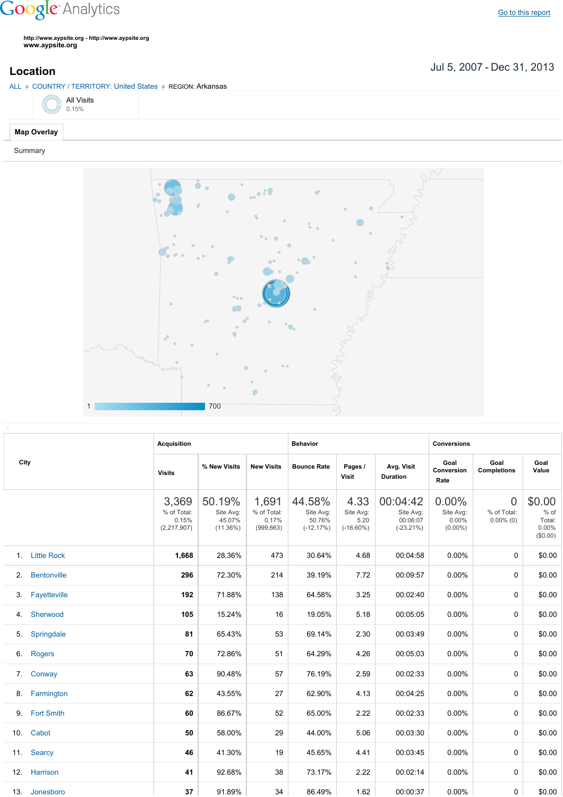## **Google** Analytics

**http://www.aypsite.org http://www.aypsite.org www.aypsite.org**

Jul 5, 2007 Dec 31, 2013 **Location**

## ALL » COUNTRY / TERRITORY: United States » REGION: Arkansas

|  | <b>All Visits</b><br>0.15% |
|--|----------------------------|
|  |                            |

## **Map Overlay**

Summary



| City | <b>Acquisition</b> |                                              |                                              | <b>Behavior</b>                             |                                              |                                           | <b>Conversions</b>                                |                                              |                                               |                                                 |
|------|--------------------|----------------------------------------------|----------------------------------------------|---------------------------------------------|----------------------------------------------|-------------------------------------------|---------------------------------------------------|----------------------------------------------|-----------------------------------------------|-------------------------------------------------|
|      |                    | <b>Visits</b>                                | % New Visits                                 | <b>New Visits</b>                           | <b>Bounce Rate</b>                           | Pages /<br><b>Visit</b>                   | Avg. Visit<br><b>Duration</b>                     | Goal<br>Conversion<br>Rate                   | Goal<br><b>Completions</b>                    | Goal<br>Value                                   |
|      |                    | 3,369<br>% of Total:<br>0.15%<br>(2,217,907) | 50.19%<br>Site Avg:<br>45.07%<br>$(11.36\%)$ | 1,691<br>% of Total:<br>0.17%<br>(999, 663) | 44.58%<br>Site Avg:<br>50.76%<br>$(-12.17%)$ | 4.33<br>Site Avg:<br>5.20<br>$(-16.60\%)$ | 00:04:42<br>Site Avg:<br>00:06:07<br>$(-23.21\%)$ | $0.00\%$<br>Site Avg:<br>0.00%<br>$(0.00\%)$ | $\overline{0}$<br>% of Total:<br>$0.00\%$ (0) | \$0.00<br>$%$ of<br>Total:<br>0.00%<br>(\$0.00) |
|      | 1. Little Rock     | 1,668                                        | 28.36%                                       | 473                                         | 30.64%                                       | 4.68                                      | 00:04:58                                          | 0.00%                                        | 0                                             | \$0.00                                          |
| 2.   | <b>Bentonville</b> | 296                                          | 72.30%                                       | 214                                         | 39.19%                                       | 7.72                                      | 00:09:57                                          | 0.00%                                        | 0                                             | \$0.00                                          |
| 3.   | Fayetteville       | 192                                          | 71.88%                                       | 138                                         | 64.58%                                       | 3.25                                      | 00:02:40                                          | 0.00%                                        | 0                                             | \$0.00                                          |
| 4.   | Sherwood           | 105                                          | 15.24%                                       | 16                                          | 19.05%                                       | 5.18                                      | 00:05:05                                          | 0.00%                                        | 0                                             | \$0.00                                          |
| 5.   | Springdale         | 81                                           | 65.43%                                       | 53                                          | 69.14%                                       | 2.30                                      | 00:03:49                                          | $0.00\%$                                     | 0                                             | \$0.00                                          |
| 6.   | <b>Rogers</b>      | 70                                           | 72.86%                                       | 51                                          | 64.29%                                       | 4.26                                      | 00:05:03                                          | 0.00%                                        | 0                                             | \$0.00                                          |
| 7.   | Conway             | 63                                           | 90.48%                                       | 57                                          | 76.19%                                       | 2.59                                      | 00:02:33                                          | 0.00%                                        | 0                                             | \$0.00                                          |
| 8.   | Farmington         | 62                                           | 43.55%                                       | 27                                          | 62.90%                                       | 4.13                                      | 00:04:25                                          | 0.00%                                        | 0                                             | \$0.00                                          |
| 9.   | <b>Fort Smith</b>  | 60                                           | 86.67%                                       | 52                                          | 65.00%                                       | 2.22                                      | 00:02:33                                          | 0.00%                                        | $\Omega$                                      | \$0.00                                          |
| 10.  | Cabot              | 50                                           | 58.00%                                       | 29                                          | 44.00%                                       | 5.06                                      | 00:03:30                                          | 0.00%                                        | $\Omega$                                      | \$0.00                                          |
|      | 11. Searcy         | 46                                           | 41.30%                                       | 19                                          | 45.65%                                       | 4.41                                      | 00:03:45                                          | 0.00%                                        | $\Omega$                                      | \$0.00                                          |
| 12.  | Harrison           | 41                                           | 92.68%                                       | 38                                          | 73.17%                                       | 2.22                                      | 00:02:14                                          | 0.00%                                        | $\Omega$                                      | \$0.00                                          |
| 13.  | Jonesboro          | 37                                           | 91.89%                                       | 34                                          | 86.49%                                       | 1.62                                      | 00:00:37                                          | $0.00\%$                                     | 0                                             | \$0.00                                          |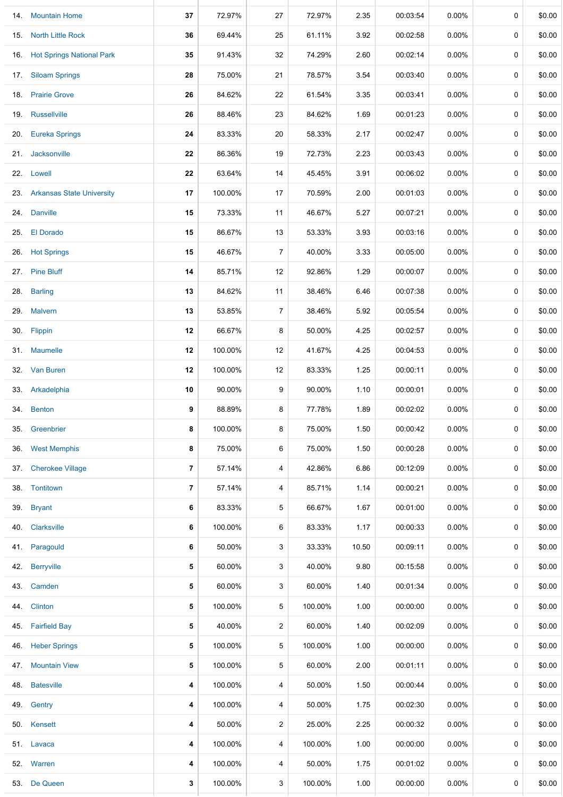|     | 14. Mountain Home                | 37             | 72.97%  | 27             | 72.97%  | 2.35  | 00:03:54 | 0.00%    | 0           | \$0.00 |
|-----|----------------------------------|----------------|---------|----------------|---------|-------|----------|----------|-------------|--------|
| 15. | <b>North Little Rock</b>         | 36             | 69.44%  | 25             | 61.11%  | 3.92  | 00:02:58 | $0.00\%$ | 0           | \$0.00 |
| 16. | <b>Hot Springs National Park</b> | 35             | 91.43%  | 32             | 74.29%  | 2.60  | 00:02:14 | 0.00%    | 0           | \$0.00 |
|     | 17. Siloam Springs               | 28             | 75.00%  | 21             | 78.57%  | 3.54  | 00:03:40 | 0.00%    | 0           | \$0.00 |
| 18. | <b>Prairie Grove</b>             | 26             | 84.62%  | 22             | 61.54%  | 3.35  | 00:03:41 | 0.00%    | 0           | \$0.00 |
| 19. | Russellville                     | 26             | 88.46%  | 23             | 84.62%  | 1.69  | 00:01:23 | 0.00%    | 0           | \$0.00 |
| 20. | <b>Eureka Springs</b>            | 24             | 83.33%  | 20             | 58.33%  | 2.17  | 00:02:47 | 0.00%    | 0           | \$0.00 |
| 21. | Jacksonville                     | 22             | 86.36%  | 19             | 72.73%  | 2.23  | 00:03:43 | 0.00%    | 0           | \$0.00 |
|     | 22. Lowell                       | 22             | 63.64%  | 14             | 45.45%  | 3.91  | 00:06:02 | $0.00\%$ | 0           | \$0.00 |
|     | 23. Arkansas State University    | 17             | 100.00% | 17             | 70.59%  | 2.00  | 00:01:03 | $0.00\%$ | 0           | \$0.00 |
|     | 24. Danville                     | 15             | 73.33%  | 11             | 46.67%  | 5.27  | 00:07:21 | $0.00\%$ | 0           | \$0.00 |
| 25. | <b>El Dorado</b>                 | 15             | 86.67%  | 13             | 53.33%  | 3.93  | 00:03:16 | 0.00%    | 0           | \$0.00 |
|     | 26. Hot Springs                  | 15             | 46.67%  | $\overline{7}$ | 40.00%  | 3.33  | 00:05:00 | 0.00%    | 0           | \$0.00 |
| 27. | <b>Pine Bluff</b>                | 14             | 85.71%  | 12             | 92.86%  | 1.29  | 00:00:07 | 0.00%    | 0           | \$0.00 |
| 28. | <b>Barling</b>                   | 13             | 84.62%  | 11             | 38.46%  | 6.46  | 00:07:38 | 0.00%    | 0           | \$0.00 |
| 29. | <b>Malvern</b>                   | 13             | 53.85%  | 7              | 38.46%  | 5.92  | 00:05:54 | 0.00%    | $\mathbf 0$ | \$0.00 |
|     | 30. Flippin                      | 12             | 66.67%  | 8              | 50.00%  | 4.25  | 00:02:57 | $0.00\%$ | 0           | \$0.00 |
|     | 31. Maumelle                     | 12             | 100.00% | 12             | 41.67%  | 4.25  | 00:04:53 | 0.00%    | 0           | \$0.00 |
| 32. | Van Buren                        | 12             | 100.00% | 12             | 83.33%  | 1.25  | 00:00:11 | 0.00%    | 0           | \$0.00 |
|     | 33. Arkadelphia                  | 10             | 90.00%  | 9              | 90.00%  | 1.10  | 00:00:01 | 0.00%    | 0           | \$0.00 |
|     | 34. Benton                       | 9              | 88.89%  | 8              | 77.78%  | 1.89  | 00:02:02 | 0.00%    | 0           | \$0.00 |
| 35. | Greenbrier                       | 8              | 100.00% | 8              | 75.00%  | 1.50  | 00:00:42 | 0.00%    | 0           | \$0.00 |
| 36. | <b>West Memphis</b>              | 8              | 75.00%  | 6              | 75.00%  | 1.50  | 00:00:28 | $0.00\%$ | $\mathbf 0$ | \$0.00 |
| 37. | <b>Cherokee Village</b>          | 7              | 57.14%  | 4              | 42.86%  | 6.86  | 00:12:09 | $0.00\%$ | 0           | \$0.00 |
| 38. | Tontitown                        | $\overline{7}$ | 57.14%  | 4              | 85.71%  | 1.14  | 00:00:21 | $0.00\%$ | 0           | \$0.00 |
| 39. | <b>Bryant</b>                    | 6              | 83.33%  | 5              | 66.67%  | 1.67  | 00:01:00 | $0.00\%$ | 0           | \$0.00 |
| 40. | Clarksville                      | 6              | 100.00% | 6              | 83.33%  | 1.17  | 00:00:33 | 0.00%    | 0           | \$0.00 |
| 41. | Paragould                        | 6              | 50.00%  | 3              | 33.33%  | 10.50 | 00:09:11 | 0.00%    | 0           | \$0.00 |
| 42. | Berryville                       | 5              | 60.00%  | 3              | 40.00%  | 9.80  | 00:15:58 | 0.00%    | 0           | \$0.00 |
|     | 43. Camden                       | 5              | 60.00%  | 3              | 60.00%  | 1.40  | 00:01:34 | 0.00%    | 0           | \$0.00 |
| 44. | <b>Clinton</b>                   | 5              | 100.00% | 5              | 100.00% | 1.00  | 00:00:00 | 0.00%    | 0           | \$0.00 |
| 45. | <b>Fairfield Bay</b>             | 5              | 40.00%  | $\overline{a}$ | 60.00%  | 1.40  | 00:02:09 | 0.00%    | 0           | \$0.00 |
| 46. | <b>Heber Springs</b>             | 5              | 100.00% | 5              | 100.00% | 1.00  | 00:00:00 | 0.00%    | $\mathbf 0$ | \$0.00 |
|     | 47. Mountain View                | 5              | 100.00% | 5              | 60.00%  | 2.00  | 00:01:11 | 0.00%    | 0           | \$0.00 |
| 48. | <b>Batesville</b>                | 4              | 100.00% | 4              | 50.00%  | 1.50  | 00:00:44 | 0.00%    | 0           | \$0.00 |
| 49. | Gentry                           | 4              | 100.00% | 4              | 50.00%  | 1.75  | 00:02:30 | 0.00%    | 0           | \$0.00 |
|     | 50. Kensett                      | 4              | 50.00%  | 2              | 25.00%  | 2.25  | 00:00:32 | 0.00%    | 0           | \$0.00 |
|     | 51. Lavaca                       | 4              | 100.00% | 4              | 100.00% | 1.00  | 00:00:00 | 0.00%    | 0           | \$0.00 |
|     | 52. Warren                       | 4              | 100.00% | 4              | 50.00%  | 1.75  | 00:01:02 | 0.00%    | 0           | \$0.00 |
| 53. | De Queen                         | 3              | 100.00% | 3              | 100.00% | 1.00  | 00:00:00 | $0.00\%$ | 0           | \$0.00 |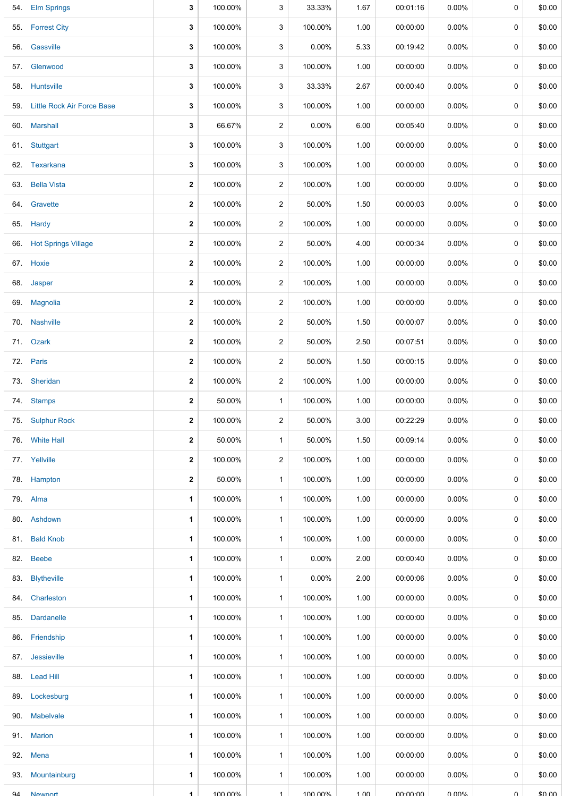|              | 54. Elm Springs            | 3              | 100.00% | 3              | 33.33%   | 1.67 | 00:01:16 | 0.00%    | 0      | \$0.00 |
|--------------|----------------------------|----------------|---------|----------------|----------|------|----------|----------|--------|--------|
|              | 55. Forrest City           | 3              | 100.00% | 3              | 100.00%  | 1.00 | 00:00:00 | $0.00\%$ | 0      | \$0.00 |
|              | 56. Gassville              | 3              | 100.00% | 3              | 0.00%    | 5.33 | 00:19:42 | $0.00\%$ | 0      | \$0.00 |
| 57.          | Glenwood                   | 3              | 100.00% | 3              | 100.00%  | 1.00 | 00:00:00 | $0.00\%$ | 0      | \$0.00 |
|              | 58. Huntsville             | 3              | 100.00% | 3              | 33.33%   | 2.67 | 00:00:40 | $0.00\%$ | 0      | \$0.00 |
| 59.          | Little Rock Air Force Base | 3              | 100.00% | 3              | 100.00%  | 1.00 | 00:00:00 | $0.00\%$ | 0      | \$0.00 |
|              | 60. Marshall               | 3              | 66.67%  | 2              | $0.00\%$ | 6.00 | 00:05:40 | $0.00\%$ | 0      | \$0.00 |
| 61.          | Stuttgart                  | 3              | 100.00% | 3              | 100.00%  | 1.00 | 00:00:00 | $0.00\%$ | 0      | \$0.00 |
|              | 62. Texarkana              | 3              | 100.00% | 3              | 100.00%  | 1.00 | 00:00:00 | $0.00\%$ | 0      | \$0.00 |
| 63.          | <b>Bella Vista</b>         | $\mathbf 2$    | 100.00% | $\overline{a}$ | 100.00%  | 1.00 | 00:00:00 | $0.00\%$ | 0      | \$0.00 |
|              | 64. Gravette               | 2              | 100.00% | $\overline{2}$ | 50.00%   | 1.50 | 00:00:03 | $0.00\%$ | 0      | \$0.00 |
| 65.          | Hardy                      | $\mathbf 2$    | 100.00% | $\overline{a}$ | 100.00%  | 1.00 | 00:00:00 | $0.00\%$ | 0      | \$0.00 |
|              | 66. Hot Springs Village    | 2              | 100.00% | $\overline{2}$ | 50.00%   | 4.00 | 00:00:34 | $0.00\%$ | 0      | \$0.00 |
|              | 67. Hoxie                  | $\mathbf{2}$   | 100.00% | $\overline{2}$ | 100.00%  | 1.00 | 00:00:00 | $0.00\%$ | 0      | \$0.00 |
|              | 68. Jasper                 | $\mathbf{2}$   | 100.00% | $\overline{2}$ | 100.00%  | 1.00 | 00:00:00 | $0.00\%$ | 0      | \$0.00 |
|              | 69. Magnolia               | $\mathbf 2$    | 100.00% | $\overline{a}$ | 100.00%  | 1.00 | 00:00:00 | $0.00\%$ | 0      | \$0.00 |
|              | 70. Nashville              | $\mathbf 2$    | 100.00% | $\overline{a}$ | 50.00%   | 1.50 | 00:00:07 | $0.00\%$ | 0      | \$0.00 |
|              | 71. Ozark                  | 2              | 100.00% | $\overline{2}$ | 50.00%   | 2.50 | 00:07:51 | $0.00\%$ | 0      | \$0.00 |
|              | 72. Paris                  | $\mathbf 2$    | 100.00% | $\overline{2}$ | 50.00%   | 1.50 | 00:00:15 | $0.00\%$ | 0      | \$0.00 |
|              | 73. Sheridan               | 2              | 100.00% | $\overline{2}$ | 100.00%  | 1.00 | 00:00:00 | $0.00\%$ | 0      | \$0.00 |
| 74.          | <b>Stamps</b>              | 2              | 50.00%  | $\mathbf{1}$   | 100.00%  | 1.00 | 00:00:00 | $0.00\%$ | 0      | \$0.00 |
|              | 75. Sulphur Rock           | 2              | 100.00% | 2              | 50.00%   | 3.00 | 00:22:29 | $0.00\%$ | 0      | \$0.00 |
|              | 76. White Hall             | $\mathbf{2}$   | 50.00%  | $\mathbf{1}$   | 50.00%   | 1.50 | 00:09:14 | $0.00\%$ | 0      | \$0.00 |
|              | 77. Yellville              | 2              | 100.00% | $\overline{2}$ | 100.00%  | 1.00 | 00:00:00 | $0.00\%$ | 0      | \$0.00 |
|              | 78. Hampton                | $\mathbf{2}$   | 50.00%  | $\mathbf{1}$   | 100.00%  | 1.00 | 00:00:00 | $0.00\%$ | 0      | \$0.00 |
|              | 79. Alma                   | 1              | 100.00% | $\mathbf{1}$   | 100.00%  | 1.00 | 00:00:00 | $0.00\%$ | 0      | \$0.00 |
|              | 80. Ashdown                | 1              | 100.00% | $\mathbf{1}$   | 100.00%  | 1.00 | 00:00:00 | $0.00\%$ | 0      | \$0.00 |
|              | 81. Bald Knob              | 1              | 100.00% | $\mathbf{1}$   | 100.00%  | 1.00 | 00:00:00 | $0.00\%$ | 0      | \$0.00 |
|              | 82. Beebe                  | 1              | 100.00% | $\mathbf{1}$   | $0.00\%$ | 2.00 | 00:00:40 | $0.00\%$ | 0      | \$0.00 |
|              | 83. Blytheville            | 1              | 100.00% | $\mathbf{1}$   | $0.00\%$ | 2.00 | 00:00:06 | $0.00\%$ | 0      | \$0.00 |
|              | 84. Charleston             | 1              | 100.00% | $\mathbf{1}$   | 100.00%  | 1.00 | 00:00:00 | $0.00\%$ | 0      | \$0.00 |
|              | 85. Dardanelle             | 1              | 100.00% | $\mathbf{1}$   | 100.00%  | 1.00 | 00:00:00 | $0.00\%$ | 0      | \$0.00 |
|              | 86. Friendship             | 1              | 100.00% | $\mathbf{1}$   | 100.00%  | 1.00 | 00:00:00 | $0.00\%$ | 0      | \$0.00 |
|              | 87. Jessieville            | 1              | 100.00% | $\mathbf{1}$   | 100.00%  | 1.00 | 00:00:00 | $0.00\%$ | 0      | \$0.00 |
|              | 88. Lead Hill              | 1              | 100.00% | $\mathbf{1}$   | 100.00%  | 1.00 | 00:00:00 | $0.00\%$ | 0      | \$0.00 |
|              | 89. Lockesburg             | 1              | 100.00% | $\mathbf{1}$   | 100.00%  | 1.00 | 00:00:00 | $0.00\%$ | 0      | \$0.00 |
|              | 90. Mabelvale              | 1              | 100.00% | $\mathbf{1}$   | 100.00%  | 1.00 | 00:00:00 | $0.00\%$ | 0      | \$0.00 |
|              | 91. Marion                 | 1              | 100.00% | $\mathbf{1}$   | 100.00%  | 1.00 | 00:00:00 | $0.00\%$ | 0      | \$0.00 |
|              | 92. Mena                   | 1              | 100.00% | $\mathbf{1}$   | 100.00%  | 1.00 | 00:00:00 | $0.00\%$ | 0      | \$0.00 |
| 93.          | Mountainburg               | 1              | 100.00% | $\mathbf{1}$   | 100.00%  | 1.00 | 00:00:00 | $0.00\%$ | 0      | \$0.00 |
| $Q_{\Delta}$ | Newnort                    | $\blacksquare$ | 100.00% | $\mathbf 1$    | 100.00%  | 1 በበ | 0.0000   | በ በበ%    | $\cap$ | \$0.00 |